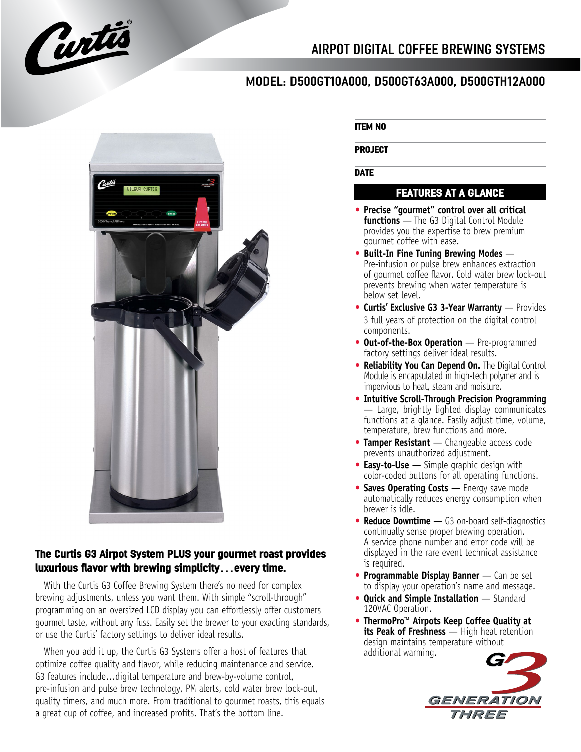

# MODEL: D500GT10A000, D500GT63A000, D500GTH12A000



# **The Curtis G3 Airpot System PLUS your gourmet roast provides luxurious flavor with brewing simplicity…every time.**

With the Curtis G3 Coffee Brewing System there's no need for complex brewing adjustments, unless you want them. With simple "scroll-through" programming on an oversized LCD display you can effortlessly offer customers gourmet taste, without any fuss. Easily set the brewer to your exacting standards, or use the Curtis' factory settings to deliver ideal results.

When you add it up, the Curtis G3 Systems offer a host of features that optimize coffee quality and flavor, while reducing maintenance and service. G3 features include...digital temperature and brew-by-volume control, pre-infusion and pulse brew technology, PM alerts, cold water brew lock-out, quality timers, and much more. From traditional to gourmet roasts, this equals a great cup of coffee, and increased profits. That's the bottom line.

### **ITEM NO**

#### **PROJECT**

### **DATE**

## **FEATURES AT A GLANCE**

- **• Precise "gourmet" control over all critical functions** — The G3 Digital Control Module provides you the expertise to brew premium gourmet coffee with ease.
- **•• Built-In Fine Tuning Brewing Modes —** Pre-infusion or pulse brew enhances extraction of gourmet coffee flavor. Cold water brew lock-out prevents brewing when water temperature is below set level.
- **• Curtis' Exclusive G3 3-Year Warranty** Provides 3 full years of protection on the digital control components.
- **• Out-of-the-Box Operation** Pre-programmed factory settings deliver ideal results.
- **• Reliability You Can Depend On.** The Digital Control Module is encapsulated in high-tech polymer and is impervious to heat, steam and moisture.
- **• Intuitive Scroll-Through Precision Programming** — Large, brightly lighted display communicates functions at a glance. Easily adjust time, volume, temperature, brew functions and more.
- **• Tamper Resistant** Changeable access code prevents unauthorized adjustment.
- **• Easy-to-Use** Simple graphic design with color-coded buttons for all operating functions.
- **• Saves Operating Costs** Energy save mode automatically reduces energy consumption when brewer is idle.
- **• Reduce Downtime** G3 on-board self-diagnostics continually sense proper brewing operation. A service phone number and error code will be displayed in the rare event technical assistance is required.
- **• Programmable Display Banner** Can be set to display your operation's name and message.
- **• Quick and Simple Installation** Standard 120VAC Operation.
- **• ThermoPro™ Airpots Keep Coffee Quality at its Peak of Freshness** — High heat retention design maintains temperature without additional warming.